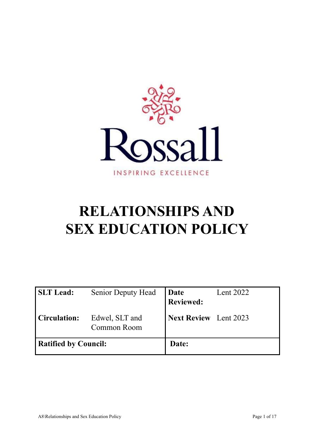

# **RELATIONSHIPS AND SEX EDUCATION POLICY**

| <b>SLT</b> Lead:            | <b>Senior Deputy Head</b>     | <b>Date</b><br><b>Reviewed:</b> | Lent 2022 |
|-----------------------------|-------------------------------|---------------------------------|-----------|
| <b>Circulation:</b>         | Edwel, SLT and<br>Common Room | <b>Next Review</b> Lent 2023    |           |
| <b>Ratified by Council:</b> |                               | Date:                           |           |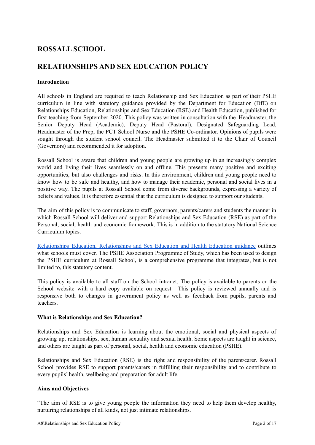# **ROSSALL SCHOOL**

# **RELATIONSHIPS AND SEX EDUCATION POLICY**

# **Introduction**

All schools in England are required to teach Relationship and Sex Education as part of their PSHE curriculum in line with statutory guidance provided by the Department for Education (DfE) on Relationships Education, Relationships and Sex Education (RSE) and Health Education, published for first teaching from September 2020. This policy was written in consultation with the Headmaster, the Senior Deputy Head (Academic), Deputy Head (Pastoral), Designated Safeguarding Lead, Headmaster of the Prep, the PCT School Nurse and the PSHE Co-ordinator. Opinions of pupils were sought through the student school council. The Headmaster submitted it to the Chair of Council (Governors) and recommended it for adoption.

Rossall School is aware that children and young people are growing up in an increasingly complex world and living their lives seamlessly on and offline. This presents many positive and exciting opportunities, but also challenges and risks. In this environment, children and young people need to know how to be safe and healthy, and how to manage their academic, personal and social lives in a positive way. The pupils at Rossall School come from diverse backgrounds, expressing a variety of beliefs and values. It is therefore essential that the curriculum is designed to support our students.

The aim of this policy is to communicate to staff, governors, parents/carers and students the manner in which Rossall School will deliver and support Relationships and Sex Education (RSE) as part of the Personal, social, health and economic framework. This is in addition to the statutory National Science Curriculum topics.

Relationships Education, [Relationships](https://assets.publishing.service.gov.uk/government/uploads/system/uploads/attachment_data/file/1019542/Relationships_Education__Relationships_and_Sex_Education__RSE__and_Health_Education.pdf) and Sex Education and Health Education guidance outlines what schools must cover. The PSHE Association Programme of Study, which has been used to design the PSHE curriculum at Rossall School, is a comprehensive programme that integrates, but is not limited to, this statutory content.

This policy is available to all staff on the School intranet. The policy is available to parents on the School website with a hard copy available on request. This policy is reviewed annually and is responsive both to changes in government policy as well as feedback from pupils, parents and teachers.

## **What is Relationships and Sex Education?**

Relationships and Sex Education is learning about the emotional, social and physical aspects of growing up, relationships, sex, human sexuality and sexual health. Some aspects are taught in science, and others are taught as part of personal, social, health and economic education (PSHE).

Relationships and Sex Education (RSE) is the right and responsibility of the parent/carer. Rossall School provides RSE to support parents/carers in fulfilling their responsibility and to contribute to every pupils' health, wellbeing and preparation for adult life.

# **Aims and Objectives**

"The aim of RSE is to give young people the information they need to help them develop healthy, nurturing relationships of all kinds, not just intimate relationships.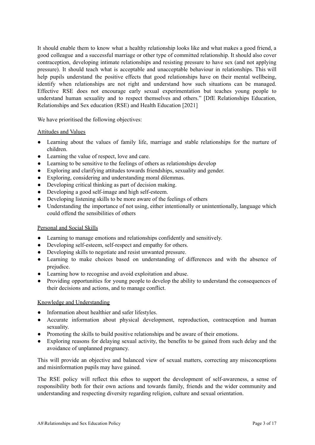It should enable them to know what a healthy relationship looks like and what makes a good friend, a good colleague and a successful marriage or other type of committed relationship. It should also cover contraception, developing intimate relationships and resisting pressure to have sex (and not applying pressure). It should teach what is acceptable and unacceptable behaviour in relationships. This will help pupils understand the positive effects that good relationships have on their mental wellbeing, identify when relationships are not right and understand how such situations can be managed. Effective RSE does not encourage early sexual experimentation but teaches young people to understand human sexuality and to respect themselves and others." [DfE Relationships Education, Relationships and Sex education (RSE) and Health Education [2021]

We have prioritised the following objectives:

# Attitudes and Values

- Learning about the values of family life, marriage and stable relationships for the nurture of children.
- Learning the value of respect, love and care.
- Learning to be sensitive to the feelings of others as relationships develop
- Exploring and clarifying attitudes towards friendships, sexuality and gender.
- Exploring, considering and understanding moral dilemmas.
- Developing critical thinking as part of decision making.
- Developing a good self-image and high self-esteem.
- Developing listening skills to be more aware of the feelings of others
- Understanding the importance of not using, either intentionally or unintentionally, language which could offend the sensibilities of others

## Personal and Social Skills

- Learning to manage emotions and relationships confidently and sensitively.
- Developing self-esteem, self-respect and empathy for others.
- Developing skills to negotiate and resist unwanted pressure.
- Learning to make choices based on understanding of differences and with the absence of prejudice.
- Learning how to recognise and avoid exploitation and abuse.
- Providing opportunities for young people to develop the ability to understand the consequences of their decisions and actions, and to manage conflict.

## Knowledge and Understanding

- Information about healthier and safer lifestyles.
- Accurate information about physical development, reproduction, contraception and human sexuality.
- Promoting the skills to build positive relationships and be aware of their emotions.
- Exploring reasons for delaying sexual activity, the benefits to be gained from such delay and the avoidance of unplanned pregnancy.

This will provide an objective and balanced view of sexual matters, correcting any misconceptions and misinformation pupils may have gained.

The RSE policy will reflect this ethos to support the development of self-awareness, a sense of responsibility both for their own actions and towards family, friends and the wider community and understanding and respecting diversity regarding religion, culture and sexual orientation.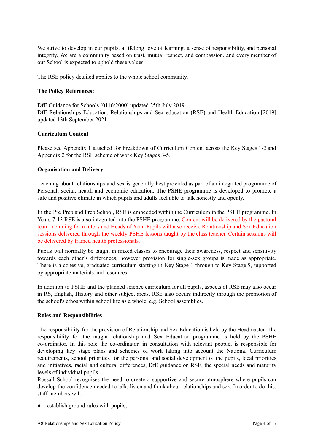We strive to develop in our pupils, a lifelong love of learning, a sense of responsibility, and personal integrity. We are a community based on trust, mutual respect, and compassion, and every member of our School is expected to uphold these values.

The RSE policy detailed applies to the whole school community.

# **The Policy References:**

DfE Guidance for Schools [0116/2000] updated 25th July 2019 DfE Relationships Education, Relationships and Sex education (RSE) and Health Education [2019] updated 13th September 2021

# **Curriculum Content**

Please see Appendix 1 attached for breakdown of Curriculum Content across the Key Stages 1-2 and Appendix 2 for the RSE scheme of work Key Stages 3-5.

# **Organisation and Delivery**

Teaching about relationships and sex is generally best provided as part of an integrated programme of Personal, social, health and economic education. The PSHE programme is developed to promote a safe and positive climate in which pupils and adults feel able to talk honestly and openly.

In the Pre Prep and Prep School, RSE is embedded within the Curriculum in the PSHE programme. In Years 7-13 RSE is also integrated into the PSHE programme. Content will be delivered by the pastoral team including form tutors and Heads of Year. Pupils will also receive Relationship and Sex Education sessions delivered through the weekly PSHE lessons taught by the class teacher. Certain sessions will be delivered by trained health professionals.

Pupils will normally be taught in mixed classes to encourage their awareness, respect and sensitivity towards each other's differences; however provision for single-sex groups is made as appropriate. There is a cohesive, graduated curriculum starting in Key Stage 1 through to Key Stage 5, supported by appropriate materials and resources.

In addition to PSHE and the planned science curriculum for all pupils, aspects of RSE may also occur in RS, English, History and other subject areas. RSE also occurs indirectly through the promotion of the school's ethos within school life as a whole. e.g. School assemblies.

## **Roles and Responsibilities**

The responsibility for the provision of Relationship and Sex Education is held by the Headmaster. The responsibility for the taught relationship and Sex Education programme is held by the PSHE co-ordinator. In this role the co-ordinator, in consultation with relevant people, is responsible for developing key stage plans and schemes of work taking into account the National Curriculum requirements, school priorities for the personal and social development of the pupils, local priorities and initiatives, racial and cultural differences, DfE guidance on RSE, the special needs and maturity levels of individual pupils.

Rossall School recognises the need to create a supportive and secure atmosphere where pupils can develop the confidence needed to talk, listen and think about relationships and sex. In order to do this, staff members will:

• establish ground rules with pupils,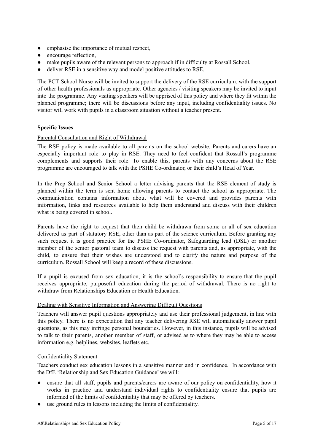- emphasise the importance of mutual respect,
- encourage reflection,
- make pupils aware of the relevant persons to approach if in difficulty at Rossall School,
- deliver RSE in a sensitive way and model positive attitudes to RSE.

The PCT School Nurse will be invited to support the delivery of the RSE curriculum, with the support of other health professionals as appropriate. Other agencies / visiting speakers may be invited to input into the programme. Any visiting speakers will be apprised of this policy and where they fit within the planned programme; there will be discussions before any input, including confidentiality issues. No visitor will work with pupils in a classroom situation without a teacher present.

## **Specific Issues**

## Parental Consultation and Right of Withdrawal

The RSE policy is made available to all parents on the school website. Parents and carers have an especially important role to play in RSE. They need to feel confident that Rossall's programme complements and supports their role. To enable this, parents with any concerns about the RSE programme are encouraged to talk with the PSHE Co-ordinator, or their child's Head of Year.

In the Prep School and Senior School a letter advising parents that the RSE element of study is planned within the term is sent home allowing parents to contact the school as appropriate. The communication contains information about what will be covered and provides parents with information, links and resources available to help them understand and discuss with their children what is being covered in school.

Parents have the right to request that their child be withdrawn from some or all of sex education delivered as part of statutory RSE, other than as part of the science curriculum. Before granting any such request it is good practice for the PSHE Co-ordinator, Safeguarding lead (DSL) or another member of the senior pastoral team to discuss the request with parents and, as appropriate, with the child, to ensure that their wishes are understood and to clarify the nature and purpose of the curriculum. Rossall School will keep a record of these discussions.

If a pupil is excused from sex education, it is the school's responsibility to ensure that the pupil receives appropriate, purposeful education during the period of withdrawal. There is no right to withdraw from Relationships Education or Health Education.

#### Dealing with Sensitive Information and Answering Difficult Questions

Teachers will answer pupil questions appropriately and use their professional judgement, in line with this policy. There is no expectation that any teacher delivering RSE will automatically answer pupil questions, as this may infringe personal boundaries. However, in this instance, pupils will be advised to talk to their parents, another member of staff, or advised as to where they may be able to access information e.g. helplines, websites, leaflets etc.

#### Confidentiality Statement

Teachers conduct sex education lessons in a sensitive manner and in confidence. In accordance with the DfE 'Relationship and Sex Education Guidance' we will:

- ensure that all staff, pupils and parents/carers are aware of our policy on confidentiality, how it works in practice and understand individual rights to confidentiality ensure that pupils are informed of the limits of confidentiality that may be offered by teachers.
- use ground rules in lessons including the limits of confidentiality.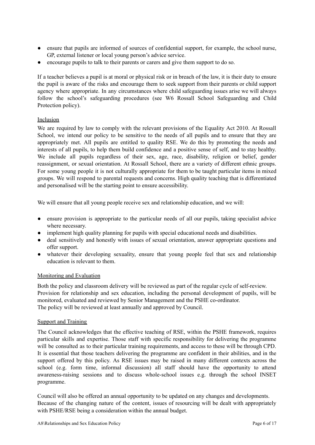- ensure that pupils are informed of sources of confidential support, for example, the school nurse, GP, external listener or local young person's advice service.
- encourage pupils to talk to their parents or carers and give them support to do so.

If a teacher believes a pupil is at moral or physical risk or in breach of the law, it is their duty to ensure the pupil is aware of the risks and encourage them to seek support from their parents or child support agency where appropriate. In any circumstances where child safeguarding issues arise we will always follow the school's safeguarding procedures (see W6 Rossall School Safeguarding and Child Protection policy).

# Inclusion

We are required by law to comply with the relevant provisions of the Equality Act 2010. At Rossall School, we intend our policy to be sensitive to the needs of all pupils and to ensure that they are appropriately met. All pupils are entitled to quality RSE. We do this by promoting the needs and interests of all pupils, to help them build confidence and a positive sense of self, and to stay healthy. We include all pupils regardless of their sex, age, race, disability, religion or belief, gender reassignment, or sexual orientation. At Rossall School, there are a variety of different ethnic groups. For some young people it is not culturally appropriate for them to be taught particular items in mixed groups. We will respond to parental requests and concerns. High quality teaching that is differentiated and personalised will be the starting point to ensure accessibility.

We will ensure that all young people receive sex and relationship education, and we will:

- ensure provision is appropriate to the particular needs of all our pupils, taking specialist advice where necessary.
- implement high quality planning for pupils with special educational needs and disabilities.
- deal sensitively and honestly with issues of sexual orientation, answer appropriate questions and offer support.
- whatever their developing sexuality, ensure that young people feel that sex and relationship education is relevant to them.

## Monitoring and Evaluation

Both the policy and classroom delivery will be reviewed as part of the regular cycle of self-review. Provision for relationship and sex education, including the personal development of pupils, will be monitored, evaluated and reviewed by Senior Management and the PSHE co-ordinator. The policy will be reviewed at least annually and approved by Council.

## Support and Training

The Council acknowledges that the effective teaching of RSE, within the PSHE framework, requires particular skills and expertise. Those staff with specific responsibility for delivering the programme will be consulted as to their particular training requirements, and access to these will be through CPD. It is essential that those teachers delivering the programme are confident in their abilities, and in the support offered by this policy. As RSE issues may be raised in many different contexts across the school (e.g. form time, informal discussion) all staff should have the opportunity to attend awareness-raising sessions and to discuss whole-school issues e.g. through the school INSET programme.

Council will also be offered an annual opportunity to be updated on any changes and developments. Because of the changing nature of the content, issues of resourcing will be dealt with appropriately with PSHE/RSE being a consideration within the annual budget.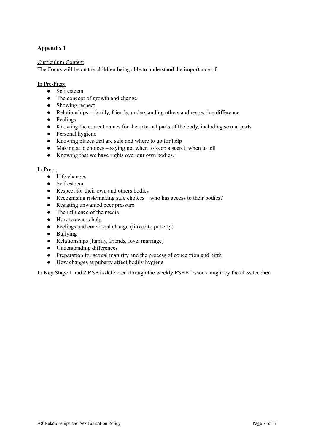# **Appendix 1**

## Curriculum Content

The Focus will be on the children being able to understand the importance of:

## In Pre-Prep:

- Self esteem
- The concept of growth and change
- Showing respect
- Relationships family, friends; understanding others and respecting difference
- Feelings
- Knowing the correct names for the external parts of the body, including sexual parts
- Personal hygiene
- Knowing places that are safe and where to go for help
- Making safe choices saying no, when to keep a secret, when to tell
- Knowing that we have rights over our own bodies.

# In Prep:

- Life changes
- Self esteem
- Respect for their own and others bodies
- Recognising risk/making safe choices who has access to their bodies?
- Resisting unwanted peer pressure
- The influence of the media
- How to access help
- Feelings and emotional change (linked to puberty)
- Bullying
- Relationships (family, friends, love, marriage)
- Understanding differences
- Preparation for sexual maturity and the process of conception and birth
- How changes at puberty affect bodily hygiene

In Key Stage 1 and 2 RSE is delivered through the weekly PSHE lessons taught by the class teacher.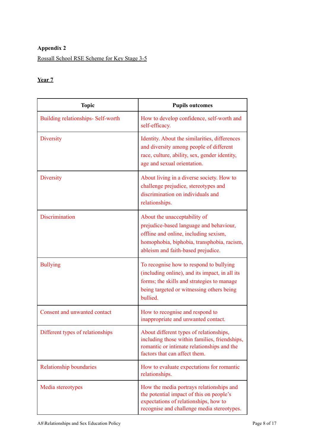# **Appendix 2**

Rossall School RSE Scheme for Key Stage 3-5

| <b>Topic</b>                       | <b>Pupils outcomes</b>                                                                                                                                                                               |
|------------------------------------|------------------------------------------------------------------------------------------------------------------------------------------------------------------------------------------------------|
| Building relationships- Self-worth | How to develop confidence, self-worth and<br>self-efficacy.                                                                                                                                          |
| Diversity                          | Identity. About the similarities, differences<br>and diversity among people of different<br>race, culture, ability, sex, gender identity,<br>age and sexual orientation.                             |
| Diversity                          | About living in a diverse society. How to<br>challenge prejudice, stereotypes and<br>discrimination on individuals and<br>relationships.                                                             |
| <b>Discrimination</b>              | About the unacceptability of<br>prejudice-based language and behaviour,<br>offline and online, including sexism,<br>homophobia, biphobia, transphobia, racism,<br>ableism and faith-based prejudice. |
| <b>Bullying</b>                    | To recognise how to respond to bullying<br>(including online), and its impact, in all its<br>forms; the skills and strategies to manage<br>being targeted or witnessing others being<br>bullied.     |
| Consent and unwanted contact       | How to recognise and respond to<br>inappropriate and unwanted contact.                                                                                                                               |
| Different types of relationships   | About different types of relationships,<br>including those within families, friendships,<br>romantic or intimate relationships and the<br>factors that can affect them.                              |
| <b>Relationship boundaries</b>     | How to evaluate expectations for romantic<br>relationships.                                                                                                                                          |
| Media stereotypes                  | How the media portrays relationships and<br>the potential impact of this on people's<br>expectations of relationships, how to<br>recognise and challenge media stereotypes.                          |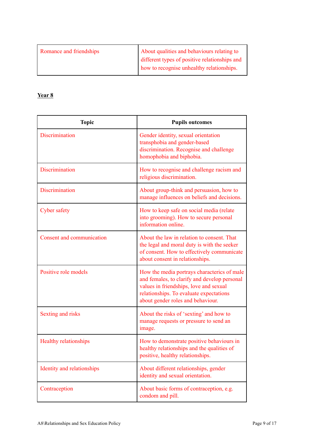| Romance and friendships | About qualities and behaviours relating to    |
|-------------------------|-----------------------------------------------|
|                         | different types of positive relationships and |
|                         | how to recognise unhealthy relationships.     |

| <b>Topic</b>                      | <b>Pupils outcomes</b>                                                                                                                                                                                                |
|-----------------------------------|-----------------------------------------------------------------------------------------------------------------------------------------------------------------------------------------------------------------------|
| <b>Discrimination</b>             | Gender identity, sexual orientation<br>transphobia and gender-based<br>discrimination. Recognise and challenge<br>homophobia and biphobia.                                                                            |
| <b>Discrimination</b>             | How to recognise and challenge racism and<br>religious discrimination.                                                                                                                                                |
| <b>Discrimination</b>             | About group-think and persuasion, how to<br>manage influences on beliefs and decisions.                                                                                                                               |
| <b>Cyber safety</b>               | How to keep safe on social media (relate<br>into grooming). How to secure personal<br>information online.                                                                                                             |
| <b>Consent and communication</b>  | About the law in relation to consent. That<br>the legal and moral duty is with the seeker<br>of consent. How to effectively communicate<br>about consent in relationships.                                            |
| Positive role models              | How the media portrays characterics of male<br>and females, to clarify and develop personal<br>values in friendships, love and sexual<br>relationships. To evaluate expectations<br>about gender roles and behaviour. |
| Sexting and risks                 | About the risks of 'sexting' and how to<br>manage requests or pressure to send an<br>image.                                                                                                                           |
| <b>Healthy relationships</b>      | How to demonstrate positive behaviours in<br>healthy relationships and the qualities of<br>positive, healthy relationships.                                                                                           |
| <b>Identity and relationships</b> | About different relationships, gender<br>identity and sexual orientation.                                                                                                                                             |
| Contraception                     | About basic forms of contraception, e.g.<br>condom and pill.                                                                                                                                                          |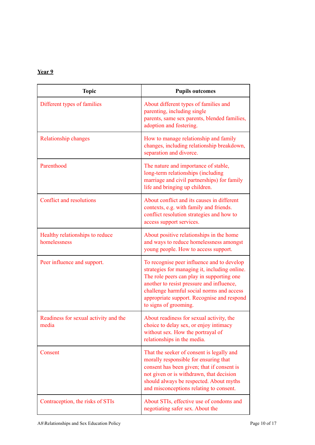| <b>Topic</b>                                    | <b>Pupils outcomes</b>                                                                                                                                                                                                                                                                                    |
|-------------------------------------------------|-----------------------------------------------------------------------------------------------------------------------------------------------------------------------------------------------------------------------------------------------------------------------------------------------------------|
| Different types of families                     | About different types of families and<br>parenting, including single<br>parents, same sex parents, blended families,<br>adoption and fostering.                                                                                                                                                           |
| <b>Relationship changes</b>                     | How to manage relationship and family<br>changes, including relationship breakdown,<br>separation and divorce.                                                                                                                                                                                            |
| Parenthood                                      | The nature and importance of stable,<br>long-term relationships (including<br>marriage and civil partnerships) for family<br>life and bringing up children.                                                                                                                                               |
| <b>Conflict and resolutions</b>                 | About conflict and its causes in different<br>contexts, e.g. with family and friends.<br>conflict resolution strategies and how to<br>access support services.                                                                                                                                            |
| Healthy relationships to reduce<br>homelessness | About positive relationships in the home<br>and ways to reduce homelessness amongst<br>young people. How to access support.                                                                                                                                                                               |
| Peer influence and support.                     | To recognise peer influence and to develop<br>strategies for managing it, including online.<br>The role peers can play in supporting one<br>another to resist pressure and influence,<br>challenge harmful social norms and access<br>appropriate support. Recognise and respond<br>to signs of grooming. |
| Readiness for sexual activity and the<br>media  | About readiness for sexual activity, the<br>choice to delay sex, or enjoy intimacy<br>without sex. How the portrayal of<br>relationships in the media.                                                                                                                                                    |
| Consent                                         | That the seeker of consent is legally and<br>morally responsible for ensuring that<br>consent has been given; that if consent is<br>not given or is withdrawn, that decision<br>should always be respected. About myths<br>and misconceptions relating to consent.                                        |
| Contraception, the risks of STIs                | About STIs, effective use of condoms and<br>negotiating safer sex. About the                                                                                                                                                                                                                              |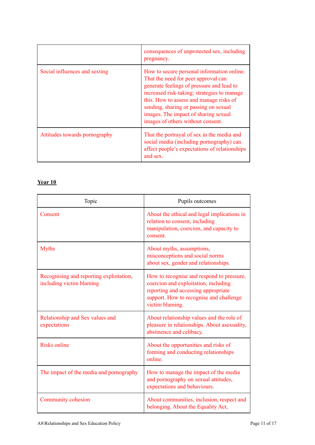|                               | consequences of unprotected sex, including<br>pregnancy.                                                                                                                                                                                                                                                                                       |
|-------------------------------|------------------------------------------------------------------------------------------------------------------------------------------------------------------------------------------------------------------------------------------------------------------------------------------------------------------------------------------------|
| Social influences and sexting | How to secure personal information online.<br>That the need for peer approval can<br>generate feelings of pressure and lead to<br>increased risk-taking; strategies to manage<br>this. How to assess and manage risks of<br>sending, sharing or passing on sexual<br>images. The impact of sharing sexual<br>images of others without consent. |
| Attitudes towards pornography | That the portrayal of sex in the media and<br>social media (including pornography) can<br>affect people's expectations of relationships<br>and sex.                                                                                                                                                                                            |

| Topic                                                               | Pupils outcomes                                                                                                                                                                        |
|---------------------------------------------------------------------|----------------------------------------------------------------------------------------------------------------------------------------------------------------------------------------|
| Consent                                                             | About the ethical and legal implications in<br>relation to consent, including<br>manipulation, coercion, and capacity to<br>consent.                                                   |
| <b>Myths</b>                                                        | About myths, assumptions,<br>misconceptions and social norms<br>about sex, gender and relationships.                                                                                   |
| Recognising and reporting exploitation,<br>including victim blaming | How to recognise and respond to pressure,<br>coercion and exploitation, including<br>reporting and accessing appropriate<br>support. How to recognise and challenge<br>victim blaming. |
| Relationship and Sex values and<br>expectations                     | About relationship values and the role of<br>pleasure in relationships. About asexuality,<br>abstinence and celibacy.                                                                  |
| <b>Risks online</b>                                                 | About the opportunities and risks of<br>forming and conducting relationships<br>online.                                                                                                |
| The impact of the media and pornography                             | How to manage the impact of the media<br>and pornography on sexual attitudes,<br>expectations and behaviours.                                                                          |
| Community cohesion                                                  | About communities, inclusion, respect and<br>belonging. About the Equality Act,                                                                                                        |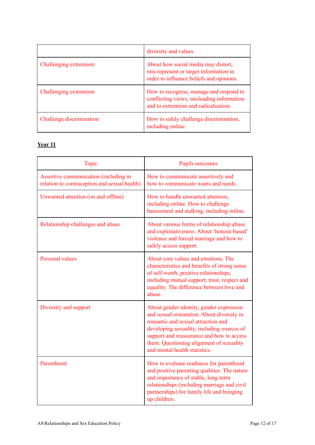|                          | diversity and values.                                                                                                        |
|--------------------------|------------------------------------------------------------------------------------------------------------------------------|
| Challenging extremism    | About how social media may distort,<br>mis-represent or target information in<br>order to influence beliefs and opinions.    |
| Challenging extremism    | How to recognise, manage and respond to<br>conflicting views, misleading information<br>and to extremism and radicalisation. |
| Challenge discrimination | How to safely challenge discrimination,<br>including online.                                                                 |

| Topic                                                                                 | <b>Pupils outcomes</b>                                                                                                                                                                                                                                                                               |
|---------------------------------------------------------------------------------------|------------------------------------------------------------------------------------------------------------------------------------------------------------------------------------------------------------------------------------------------------------------------------------------------------|
| Assertive communication (including in<br>relation to contraception and sexual health) | How to communicate assertively and<br>how to communicate wants and needs.                                                                                                                                                                                                                            |
| Unwanted attention (on and offline)                                                   | How to handle unwanted attention,<br>including online. How to challenge<br>harassment and stalking, including online.                                                                                                                                                                                |
| Relationship challenges and abuse                                                     | About various forms of relationship abuse<br>and exploitativeness. About 'honour based'<br>violence and forced marriage and how to<br>safely access support.                                                                                                                                         |
| Personal values                                                                       | About core values and emotions. The<br>characteristics and benefits of strong sense<br>of self-worth, positive relationships,<br>including mutual support, trust, respect and<br>equality. The difference between love and<br>abuse.                                                                 |
| Diversity and support                                                                 | About gender identity, gender expression<br>and sexual orientation. About diversity in<br>romantic and sexual attraction and<br>developing sexuality, including sources of<br>support and reassurance and how to access<br>them. Questioning alignment of sexuality<br>and mental health statistics. |
| Parenthood                                                                            | How to evaluate readiness for parenthood<br>and positive parenting qualities. The nature<br>and importance of stable, long-term<br>relationships (including marriage and civil<br>partnerships) for family life and bringing<br>up children.                                                         |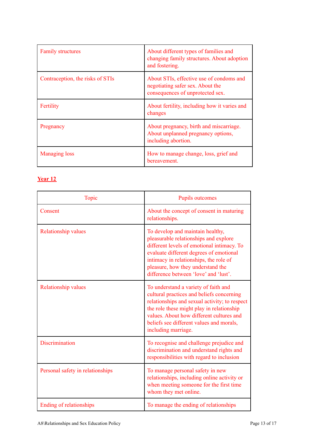| <b>Family structures</b>         | About different types of families and<br>changing family structures. About adoption<br>and fostering.            |
|----------------------------------|------------------------------------------------------------------------------------------------------------------|
| Contraception, the risks of STIs | About STIs, effective use of condoms and<br>negotiating safer sex. About the<br>consequences of unprotected sex. |
| Fertility                        | About fertility, including how it varies and<br>changes                                                          |
| Pregnancy                        | About pregnancy, birth and miscarriage.<br>About unplanned pregnancy options,<br>including abortion.             |
| <b>Managing loss</b>             | How to manage change, loss, grief and<br>bereavement.                                                            |

| <b>Topic</b>                     | <b>Pupils outcomes</b>                                                                                                                                                                                                                                                                         |
|----------------------------------|------------------------------------------------------------------------------------------------------------------------------------------------------------------------------------------------------------------------------------------------------------------------------------------------|
| Consent                          | About the concept of consent in maturing<br>relationships.                                                                                                                                                                                                                                     |
| <b>Relationship values</b>       | To develop and maintain healthy,<br>pleasurable relationships and explore<br>different levels of emotional intimacy. To<br>evaluate different degrees of emotional<br>intimacy in relationships, the role of<br>pleasure, how they understand the<br>difference between 'love' and 'lust'.     |
| <b>Relationship values</b>       | To understand a variety of faith and<br>cultural practices and beliefs concerning<br>relationships and sexual activity; to respect<br>the role these might play in relationship<br>values. About how different cultures and<br>beliefs see different values and morals,<br>including marriage. |
| <b>Discrimination</b>            | To recognise and challenge prejudice and<br>discrimination and understand rights and<br>responsibilities with regard to inclusion                                                                                                                                                              |
| Personal safety in relationships | To manage personal safety in new<br>relationships, including online activity or<br>when meeting someone for the first time<br>whom they met online.                                                                                                                                            |
| Ending of relationships          | To manage the ending of relationships                                                                                                                                                                                                                                                          |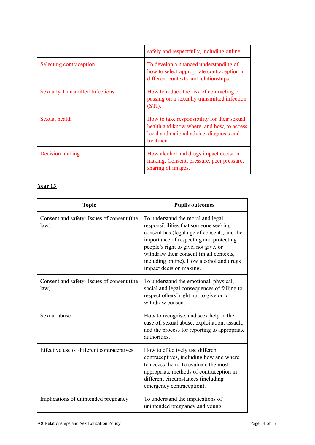|                                        | safely and respectfully, including online.                                                                                                         |
|----------------------------------------|----------------------------------------------------------------------------------------------------------------------------------------------------|
| Selecting contraception                | To develop a nuanced understanding of<br>how to select appropriate contraception in<br>different contexts and relationships.                       |
| <b>Sexually Transmitted Infections</b> | How to reduce the risk of contracting or<br>passing on a sexually transmitted infection<br>(STI).                                                  |
| <b>Sexual health</b>                   | How to take responsibility for their sexual<br>health and know where, and how, to access<br>local and national advice, diagnosis and<br>treatment. |
| Decision making                        | How alcohol and drugs impact decision<br>making. Consent, pressure, peer pressure,<br>sharing of images.                                           |

| <b>Topic</b>                                           | <b>Pupils outcomes</b>                                                                                                                                                                                                                                                                                                          |
|--------------------------------------------------------|---------------------------------------------------------------------------------------------------------------------------------------------------------------------------------------------------------------------------------------------------------------------------------------------------------------------------------|
| Consent and safety- Issues of consent (the<br>$law)$ . | To understand the moral and legal<br>responsibilities that someone seeking<br>consent has (legal age of consent), and the<br>importance of respecting and protecting<br>people's right to give, not give, or<br>withdraw their consent (in all contexts,<br>including online). How alcohol and drugs<br>impact decision making. |
| Consent and safety-Issues of consent (the<br>$law)$ .  | To understand the emotional, physical,<br>social and legal consequences of failing to<br>respect others' right not to give or to<br>withdraw consent.                                                                                                                                                                           |
| Sexual abuse                                           | How to recognise, and seek help in the<br>case of, sexual abuse, exploitation, assault,<br>and the process for reporting to appropriate<br>authorities.                                                                                                                                                                         |
| Effective use of different contraceptives              | How to effectively use different<br>contraceptives, including how and where<br>to access them. To evaluate the most<br>appropriate methods of contraception in<br>different circumstances (including<br>emergency contraception).                                                                                               |
| Implications of unintended pregnancy                   | To understand the implications of<br>unintended pregnancy and young                                                                                                                                                                                                                                                             |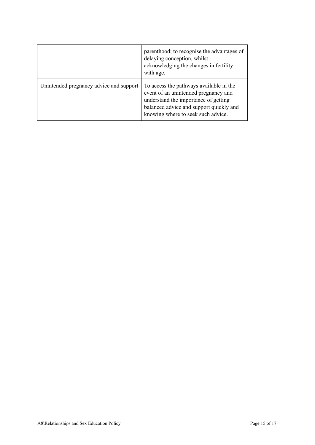|                                         | parenthood; to recognise the advantages of<br>delaying conception, whilst<br>acknowledging the changes in fertility<br>with age.                                                                         |
|-----------------------------------------|----------------------------------------------------------------------------------------------------------------------------------------------------------------------------------------------------------|
| Unintended pregnancy advice and support | To access the pathways available in the<br>event of an unintended pregnancy and<br>understand the importance of getting<br>balanced advice and support quickly and<br>knowing where to seek such advice. |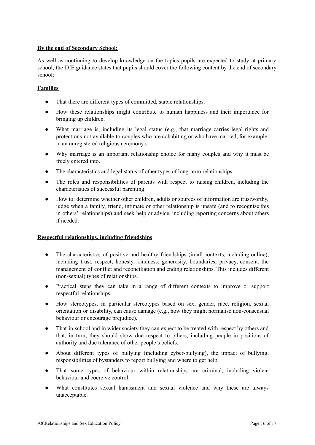# **By the end of Secondary School:**

As well as continuing to develop knowledge on the topics pupils are expected to study at primary school, the DfE guidance states that pupils should cover the following content by the end of secondary school:

# **Families**

- That there are different types of committed, stable relationships.
- How these relationships might contribute to human happiness and their importance for bringing up children.
- What marriage is, including its legal status (e.g., that marriage carries legal rights and protections not available to couples who are cohabiting or who have married, for example, in an unregistered religious ceremony).
- Why marriage is an important relationship choice for many couples and why it must be freely entered into.
- The characteristics and legal status of other types of long-term relationships.
- The roles and responsibilities of parents with respect to raising children, including the characteristics of successful parenting.
- How to: determine whether other children, adults or sources of information are trustworthy, judge when a family, friend, intimate or other relationship is unsafe (and to recognise this in others' relationships) and seek help or advice, including reporting concerns about others if needed.

# **Respectful relationships, including friendships**

- The characteristics of positive and healthy friendships (in all contexts, including online), including trust, respect, honesty, kindness, generosity, boundaries, privacy, consent, the management of conflict and reconciliation and ending relationships. This includes different (non-sexual) types of relationships.
- Practical steps they can take in a range of different contexts to improve or support respectful relationships.
- How stereotypes, in particular stereotypes based on sex, gender, race, religion, sexual orientation or disability, can cause damage (e.g., how they might normalise non-consensual behaviour or encourage prejudice).
- That in school and in wider society they can expect to be treated with respect by others and that, in turn, they should show due respect to others, including people in positions of authority and due tolerance of other people's beliefs.
- About different types of bullying (including cyber-bullying), the impact of bullying, responsibilities of bystanders to report bullying and where to get help.
- That some types of behaviour within relationships are criminal, including violent behaviour and coercive control.
- What constitutes sexual harassment and sexual violence and why these are always unacceptable.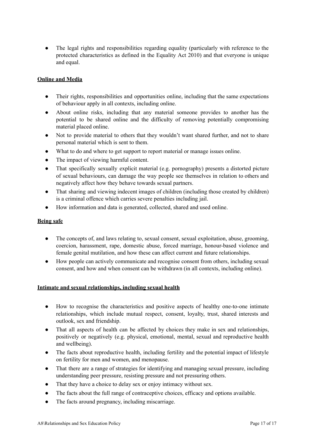• The legal rights and responsibilities regarding equality (particularly with reference to the protected characteristics as defined in the Equality Act 2010) and that everyone is unique and equal.

# **Online and Media**

- Their rights, responsibilities and opportunities online, including that the same expectations of behaviour apply in all contexts, including online.
- About online risks, including that any material someone provides to another has the potential to be shared online and the difficulty of removing potentially compromising material placed online.
- Not to provide material to others that they wouldn't want shared further, and not to share personal material which is sent to them.
- What to do and where to get support to report material or manage issues online.
- The impact of viewing harmful content.
- That specifically sexually explicit material (e.g. pornography) presents a distorted picture of sexual behaviours, can damage the way people see themselves in relation to others and negatively affect how they behave towards sexual partners.
- That sharing and viewing indecent images of children (including those created by children) is a criminal offence which carries severe penalties including jail.
- How information and data is generated, collected, shared and used online.

#### **Being safe**

- The concepts of, and laws relating to, sexual consent, sexual exploitation, abuse, grooming, coercion, harassment, rape, domestic abuse, forced marriage, honour-based violence and female genital mutilation, and how these can affect current and future relationships.
- How people can actively communicate and recognise consent from others, including sexual consent, and how and when consent can be withdrawn (in all contexts, including online).

## **Intimate and sexual relationships, including sexual health**

- How to recognise the characteristics and positive aspects of healthy one-to-one intimate relationships, which include mutual respect, consent, loyalty, trust, shared interests and outlook, sex and friendship.
- That all aspects of health can be affected by choices they make in sex and relationships, positively or negatively (e.g. physical, emotional, mental, sexual and reproductive health and wellbeing).
- The facts about reproductive health, including fertility and the potential impact of lifestyle on fertility for men and women, and menopause.
- That there are a range of strategies for identifying and managing sexual pressure, including understanding peer pressure, resisting pressure and not pressuring others.
- That they have a choice to delay sex or enjoy intimacy without sex.
- The facts about the full range of contraceptive choices, efficacy and options available.
- The facts around pregnancy, including miscarriage.